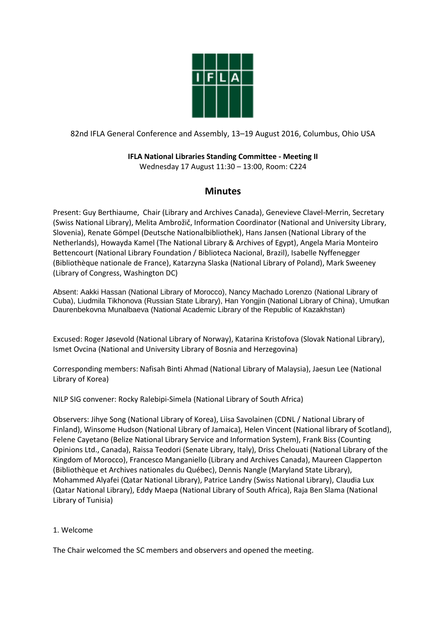

## 82nd IFLA General Conference and Assembly, 13–19 August 2016, Columbus, Ohio USA

# **IFLA National Libraries Standing Committee - Meeting II**

Wednesday 17 August 11:30 – 13:00, Room: C224

# **Minutes**

Present: Guy Berthiaume, Chair (Library and Archives Canada), Genevieve Clavel-Merrin, Secretary (Swiss National Library), Melita Ambrožič, Information Coordinator (National and University Library, Slovenia), Renate Gömpel (Deutsche Nationalbibliothek), Hans Jansen (National Library of the Netherlands), Howayda Kamel (The National Library & Archives of Egypt), Angela Maria Monteiro Bettencourt (National Library Foundation / Biblioteca Nacional, Brazil), Isabelle Nyffenegger (Bibliothèque nationale de France), Katarzyna Slaska (National Library of Poland), Mark Sweeney (Library of Congress, Washington DC)

Absent: Aakki Hassan (National Library of Morocco), Nancy Machado Lorenzo (National Library of Cuba), Liudmila Tikhonova (Russian State Library), Han Yongjin (National Library of China), Umutkan Daurenbekovna Munalbaeva (National Academic Library of the Republic of Kazakhstan)

Excused: Roger Jøsevold (National Library of Norway), Katarina Kristofova (Slovak National Library), Ismet Ovcina (National and University Library of Bosnia and Herzegovina)

Corresponding members: Nafisah Binti Ahmad (National Library of Malaysia), Jaesun Lee (National Library of Korea)

NILP SIG convener: Rocky Ralebipi-Simela (National Library of South Africa)

Observers: Jihye Song (National Library of Korea), Liisa Savolainen (CDNL / National Library of Finland), Winsome Hudson (National Library of Jamaica), Helen Vincent (National library of Scotland), Felene Cayetano (Belize National Library Service and Information System), Frank Biss (Counting Opinions Ltd., Canada), Raissa Teodori (Senate Library, Italy), Driss Chelouati (National Library of the Kingdom of Morocco), Francesco Manganiello (Library and Archives Canada), Maureen Clapperton (Bibliothèque et Archives nationales du Québec), Dennis Nangle (Maryland State Library), Mohammed Alyafei (Qatar National Library), Patrice Landry (Swiss National Library), Claudia Lux (Qatar National Library), Eddy Maepa (National Library of South Africa), Raja Ben Slama (National Library of Tunisia)

## 1. Welcome

The Chair welcomed the SC members and observers and opened the meeting.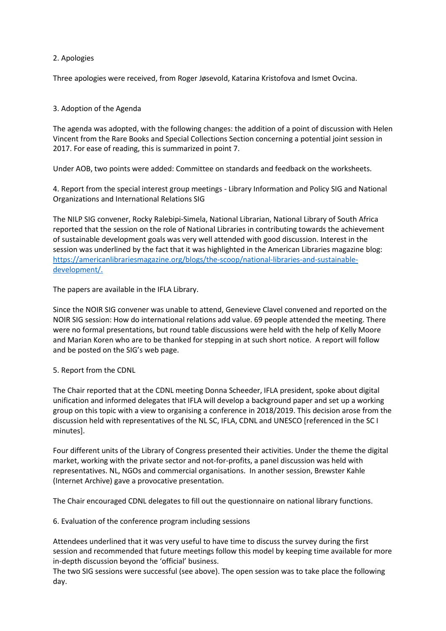### 2. Apologies

Three apologies were received, from Roger Jøsevold, Katarina Kristofova and Ismet Ovcina.

## 3. Adoption of the Agenda

The agenda was adopted, with the following changes: the addition of a point of discussion with Helen Vincent from the Rare Books and Special Collections Section concerning a potential joint session in 2017. For ease of reading, this is summarized in point 7.

Under AOB, two points were added: Committee on standards and feedback on the worksheets.

4. Report from the special interest group meetings - Library Information and Policy SIG and National Organizations and International Relations SIG

The NILP SIG convener, Rocky Ralebipi-Simela, National Librarian, National Library of South Africa reported that the session on the role of National Libraries in contributing towards the achievement of sustainable development goals was very well attended with good discussion. Interest in the session was underlined by the fact that it was highlighted in the American Libraries magazine blog: [https://americanlibrariesmagazine.org/blogs/the-scoop/national-libraries-and-sustainable](https://americanlibrariesmagazine.org/blogs/the-scoop/national-libraries-and-sustainable-development/)[development/.](https://americanlibrariesmagazine.org/blogs/the-scoop/national-libraries-and-sustainable-development/)

The papers are available in the IFLA Library.

Since the NOIR SIG convener was unable to attend, Genevieve Clavel convened and reported on the NOIR SIG session: How do international relations add value. 69 people attended the meeting. There were no formal presentations, but round table discussions were held with the help of Kelly Moore and Marian Koren who are to be thanked for stepping in at such short notice. A report will follow and be posted on the SIG's web page.

#### 5. Report from the CDNL

The Chair reported that at the CDNL meeting Donna Scheeder, IFLA president, spoke about digital unification and informed delegates that IFLA will develop a background paper and set up a working group on this topic with a view to organising a conference in 2018/2019. This decision arose from the discussion held with representatives of the NL SC, IFLA, CDNL and UNESCO [referenced in the SC I minutes].

Four different units of the Library of Congress presented their activities. Under the theme the digital market, working with the private sector and not-for-profits, a panel discussion was held with representatives. NL, NGOs and commercial organisations. In another session, Brewster Kahle (Internet Archive) gave a provocative presentation.

The Chair encouraged CDNL delegates to fill out the questionnaire on national library functions.

6. Evaluation of the conference program including sessions

Attendees underlined that it was very useful to have time to discuss the survey during the first session and recommended that future meetings follow this model by keeping time available for more in-depth discussion beyond the 'official' business.

The two SIG sessions were successful (see above). The open session was to take place the following day.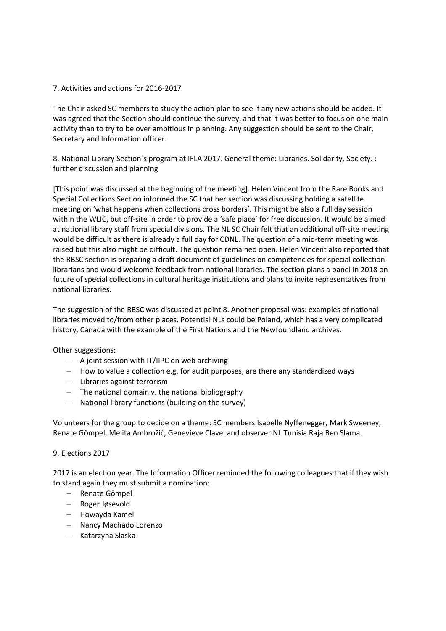#### 7. Activities and actions for 2016-2017

The Chair asked SC members to study the action plan to see if any new actions should be added. It was agreed that the Section should continue the survey, and that it was better to focus on one main activity than to try to be over ambitious in planning. Any suggestion should be sent to the Chair, Secretary and Information officer.

8. National Library Section's program at IFLA 2017. General theme: Libraries. Solidarity. Society. : further discussion and planning

[This point was discussed at the beginning of the meeting]. Helen Vincent from the Rare Books and Special Collections Section informed the SC that her section was discussing holding a satellite meeting on 'what happens when collections cross borders'. This might be also a full day session within the WLIC, but off-site in order to provide a 'safe place' for free discussion. It would be aimed at national library staff from special divisions. The NL SC Chair felt that an additional off-site meeting would be difficult as there is already a full day for CDNL. The question of a mid-term meeting was raised but this also might be difficult. The question remained open. Helen Vincent also reported that the RBSC section is preparing a draft document of guidelines on competencies for special collection librarians and would welcome feedback from national libraries. The section plans a panel in 2018 on future of special collections in cultural heritage institutions and plans to invite representatives from national libraries.

The suggestion of the RBSC was discussed at point 8. Another proposal was: examples of national libraries moved to/from other places. Potential NLs could be Poland, which has a very complicated history, Canada with the example of the First Nations and the Newfoundland archives.

Other suggestions:

- $-$  A joint session with IT/IIPC on web archiving
- How to value a collection e.g. for audit purposes, are there any standardized ways
- Libraries against terrorism
- $-$  The national domain v. the national bibliography
- National library functions (building on the survey)

Volunteers for the group to decide on a theme: SC members Isabelle Nyffenegger, Mark Sweeney, Renate Gömpel, Melita Ambrožič, Genevieve Clavel and observer NL Tunisia Raja Ben Slama.

#### 9. Elections 2017

2017 is an election year. The Information Officer reminded the following colleagues that if they wish to stand again they must submit a nomination:

- Renate Gömpel
- Roger Jøsevold
- Howayda Kamel
- Nancy Machado Lorenzo
- Katarzyna Slaska